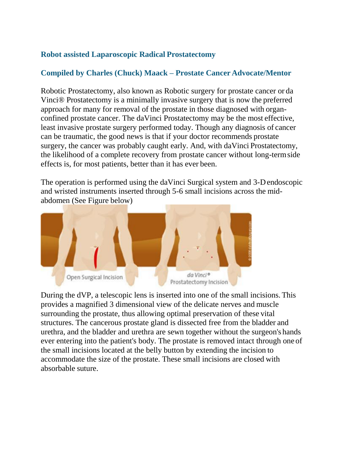## **Robot assisted Laparoscopic Radical Prostatectomy**

# **Compiled by Charles (Chuck) Maack – Prostate Cancer Advocate/Mentor**

Robotic Prostatectomy, also known as Robotic surgery for prostate cancer or da Vinci® Prostatectomy is a minimally invasive surgery that is now the preferred approach for many for removal of the prostate in those diagnosed with organconfined prostate cancer. The daVinci Prostatectomy may be the most effective, least invasive prostate surgery performed today. Though any diagnosis of cancer can be traumatic, the good news is that if your doctor recommends prostate surgery, the cancer was probably caught early. And, with daVinci Prostatectomy, the likelihood of a complete recovery from prostate cancer without long-termside effects is, for most patients, better than it has ever been.

The operation is performed using the daVinci Surgical system and 3-Dendoscopic and wristed instruments inserted through 5-6 small incisions across the midabdomen (See Figure below)



During the dVP, a telescopic lens is inserted into one of the small incisions. This provides a magnified 3 dimensional view of the delicate nerves and muscle surrounding the prostate, thus allowing optimal preservation of these vital structures. The cancerous prostate gland is dissected free from the bladder and urethra, and the bladder and urethra are sewn together without the surgeon's hands ever entering into the patient's body. The prostate is removed intact through one of the small incisions located at the belly button by extending the incision to accommodate the size of the prostate. These small incisions are closed with absorbable suture.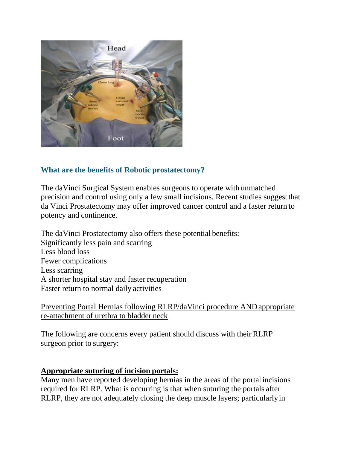

## **What are the benefits of Robotic prostatectomy?**

The daVinci Surgical System enables surgeons to operate with unmatched precision and control using only a few small incisions. Recent studies suggestthat da Vinci Prostatectomy may offer improved cancer control and a faster return to potency and continence.

The daVinci Prostatectomy also offers these potential benefits: Significantly less pain and scarring Less blood loss Fewer complications Less scarring A shorter hospital stay and faster recuperation Faster return to normal daily activities

Preventing Portal Hernias following RLRP/daVinci procedure ANDappropriate re-attachment of urethra to bladder neck

The following are concerns every patient should discuss with their RLRP surgeon prior to surgery:

## **Appropriate suturing of incision portals:**

Many men have reported developing hernias in the areas of the portal incisions required for RLRP. What is occurring is that when suturing the portals after RLRP, they are not adequately closing the deep muscle layers; particularly in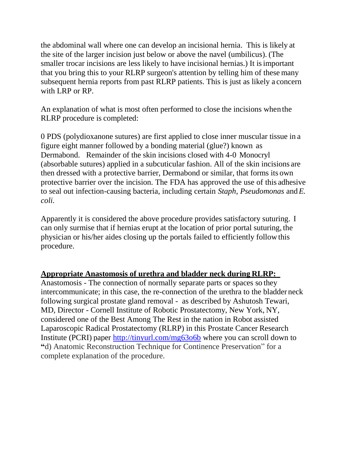the abdominal wall where one can develop an incisional hernia. This is likely at the site of the larger incision just below or above the navel (umbilicus). (The smaller trocar incisions are less likely to have incisional hernias.) It isimportant that you bring this to your RLRP surgeon's attention by telling him of these many subsequent hernia reports from past RLRP patients. This is just as likely a concern with LRP or RP.

An explanation of what is most often performed to close the incisions when the RLRP procedure is completed:

0 PDS (polydioxanone sutures) are first applied to close inner muscular tissue in a figure eight manner followed by a bonding material (glue?) known as Dermabond. Remainder of the skin incisions closed with 4-0 Monocryl (absorbable sutures) applied in a subcuticular fashion. All of the skin incisions are then dressed with a protective barrier, Dermabond or similar, that forms its own protective barrier over the incision. The FDA has approved the use of this adhesive to seal out infection-causing bacteria, including certain *Staph*, *Pseudomonas* and*E. coli.*

Apparently it is considered the above procedure provides satisfactory suturing. I can only surmise that if hernias erupt at the location of prior portal suturing, the physician or his/her aides closing up the portals failed to efficiently follow this procedure.

## **Appropriate Anastomosis of urethra and bladder neck during RLRP:**

Anastomosis - The connection of normally separate parts or spaces so they intercommunicate; in this case, the re-connection of the urethra to the bladder neck following surgical prostate gland removal - as described by Ashutosh Tewari, MD, Director - Cornell Institute of Robotic Prostatectomy, New York, NY, considered one of the Best Among The Rest in the nation in Robot assisted Laparoscopic Radical Prostatectomy (RLRP) in this Prostate Cancer Research Institute (PCRI) paper <http://tinyurl.com/mg63o6b> where you can scroll down to **"**d) Anatomic Reconstruction Technique for Continence Preservation" for a complete explanation of the procedure.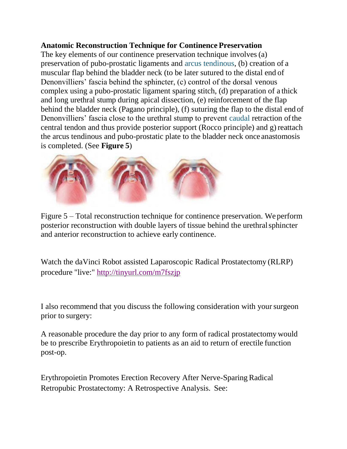#### **Anatomic Reconstruction Technique for Continence Preservation**

The key elements of our continence preservation technique involves(a) preservation of pubo-prostatic ligaments and [arcus tendinous,](http://www.prostate-cancer.org/resource/gloss_a.html#arcus_tendinous) (b) creation of a muscular flap behind the bladder neck (to be later sutured to the distal end of Denonvilliers' fascia behind the sphincter, (c) control of the dorsal venous complex using a pubo-prostatic ligament sparing stitch, (d) preparation of a thick and long urethral stump during apical dissection, (e) reinforcement of the flap behind the bladder neck (Pagano principle), (f) suturing the flap to the distal end of Denonvilliers' fascia close to the urethral stump to prevent [caudal](http://www.prostate-cancer.org/resource/gloss_c.html#caudal) retraction of the central tendon and thus provide posterior support (Rocco principle) and g) reattach the arcus tendinous and pubo-prostatic plate to the bladder neck once anastomosis is completed. (See **Figure 5**)



Figure 5 – Total reconstruction technique for continence preservation. We perform posterior reconstruction with double layers of tissue behind the urethralsphincter and anterior reconstruction to achieve early continence.

Watch the daVinci Robot assisted Laparoscopic Radical Prostatectomy (RLRP) procedure "live:" <http://tinyurl.com/m7fszjp>

I also recommend that you discuss the following consideration with yoursurgeon prior to surgery:

A reasonable procedure the day prior to any form of radical prostatectomy would be to prescribe Erythropoietin to patients as an aid to return of erectile function post-op.

Erythropoietin Promotes Erection Recovery After Nerve-Sparing Radical Retropubic Prostatectomy: A Retrospective Analysis. See: